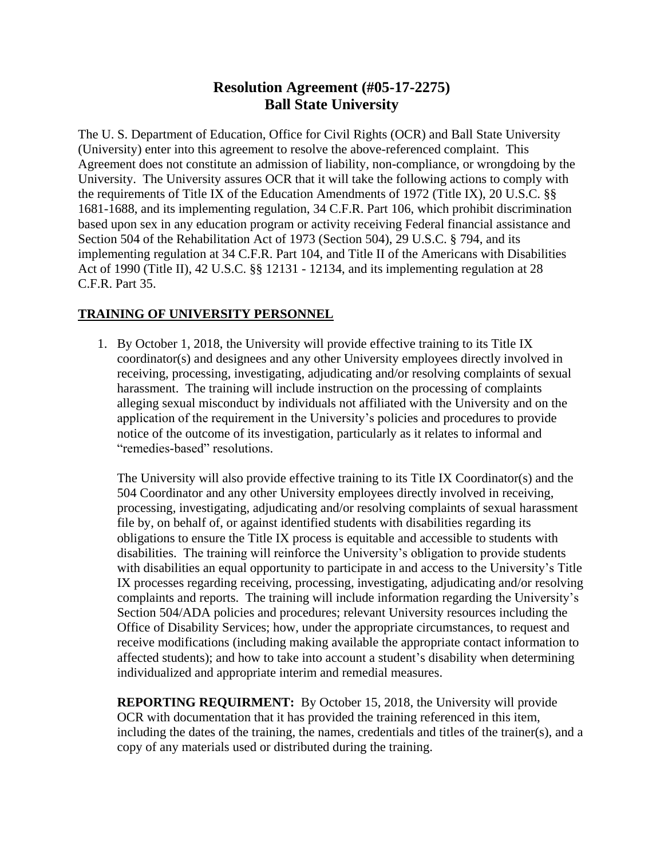## **Resolution Agreement (#05-17-2275) Ball State University**

The U. S. Department of Education, Office for Civil Rights (OCR) and Ball State University (University) enter into this agreement to resolve the above-referenced complaint. This Agreement does not constitute an admission of liability, non-compliance, or wrongdoing by the University. The University assures OCR that it will take the following actions to comply with the requirements of Title IX of the Education Amendments of 1972 (Title IX), 20 U.S.C. §§ 1681-1688, and its implementing regulation, 34 C.F.R. Part 106, which prohibit discrimination based upon sex in any education program or activity receiving Federal financial assistance and Section 504 of the Rehabilitation Act of 1973 (Section 504), 29 U.S.C. § 794, and its implementing regulation at 34 C.F.R. Part 104, and Title II of the Americans with Disabilities Act of 1990 (Title II), 42 U.S.C. §§ 12131 - 12134, and its implementing regulation at 28 C.F.R. Part 35.

## **TRAINING OF UNIVERSITY PERSONNEL**

1. By October 1, 2018, the University will provide effective training to its Title IX coordinator(s) and designees and any other University employees directly involved in receiving, processing, investigating, adjudicating and/or resolving complaints of sexual harassment. The training will include instruction on the processing of complaints alleging sexual misconduct by individuals not affiliated with the University and on the application of the requirement in the University's policies and procedures to provide notice of the outcome of its investigation, particularly as it relates to informal and "remedies-based" resolutions.

The University will also provide effective training to its Title IX Coordinator(s) and the 504 Coordinator and any other University employees directly involved in receiving, processing, investigating, adjudicating and/or resolving complaints of sexual harassment file by, on behalf of, or against identified students with disabilities regarding its obligations to ensure the Title IX process is equitable and accessible to students with disabilities. The training will reinforce the University's obligation to provide students with disabilities an equal opportunity to participate in and access to the University's Title IX processes regarding receiving, processing, investigating, adjudicating and/or resolving complaints and reports. The training will include information regarding the University's Section 504/ADA policies and procedures; relevant University resources including the Office of Disability Services; how, under the appropriate circumstances, to request and receive modifications (including making available the appropriate contact information to affected students); and how to take into account a student's disability when determining individualized and appropriate interim and remedial measures.

**REPORTING REQUIRMENT:** By October 15, 2018, the University will provide OCR with documentation that it has provided the training referenced in this item, including the dates of the training, the names, credentials and titles of the trainer(s), and a copy of any materials used or distributed during the training.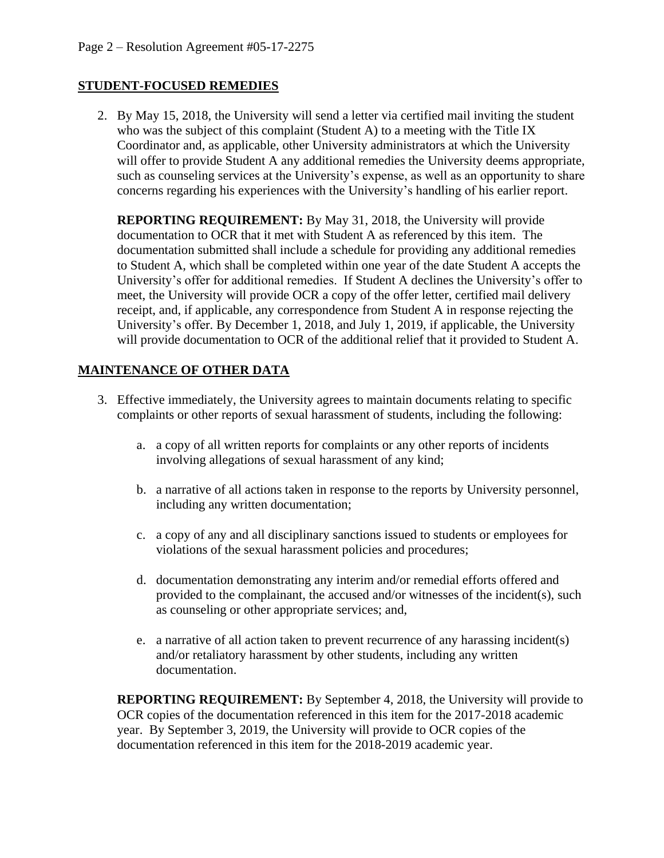## **STUDENT-FOCUSED REMEDIES**

2. By May 15, 2018, the University will send a letter via certified mail inviting the student who was the subject of this complaint (Student A) to a meeting with the Title IX Coordinator and, as applicable, other University administrators at which the University will offer to provide Student A any additional remedies the University deems appropriate, such as counseling services at the University's expense, as well as an opportunity to share concerns regarding his experiences with the University's handling of his earlier report.

**REPORTING REQUIREMENT:** By May 31, 2018, the University will provide documentation to OCR that it met with Student A as referenced by this item. The documentation submitted shall include a schedule for providing any additional remedies to Student A, which shall be completed within one year of the date Student A accepts the University's offer for additional remedies. If Student A declines the University's offer to meet, the University will provide OCR a copy of the offer letter, certified mail delivery receipt, and, if applicable, any correspondence from Student A in response rejecting the University's offer. By December 1, 2018, and July 1, 2019, if applicable, the University will provide documentation to OCR of the additional relief that it provided to Student A.

## **MAINTENANCE OF OTHER DATA**

- 3. Effective immediately, the University agrees to maintain documents relating to specific complaints or other reports of sexual harassment of students, including the following:
	- a. a copy of all written reports for complaints or any other reports of incidents involving allegations of sexual harassment of any kind;
	- b. a narrative of all actions taken in response to the reports by University personnel, including any written documentation;
	- c. a copy of any and all disciplinary sanctions issued to students or employees for violations of the sexual harassment policies and procedures;
	- d. documentation demonstrating any interim and/or remedial efforts offered and provided to the complainant, the accused and/or witnesses of the incident(s), such as counseling or other appropriate services; and,
	- e. a narrative of all action taken to prevent recurrence of any harassing incident(s) and/or retaliatory harassment by other students, including any written documentation.

**REPORTING REQUIREMENT:** By September 4, 2018, the University will provide to OCR copies of the documentation referenced in this item for the 2017-2018 academic year. By September 3, 2019, the University will provide to OCR copies of the documentation referenced in this item for the 2018-2019 academic year.